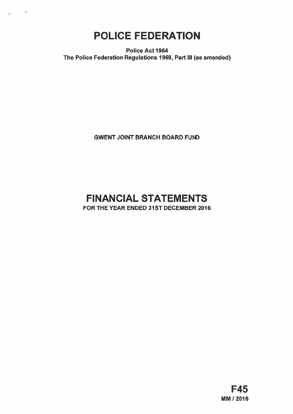POLICE FEDERATION

新开花

Police Act 1964 The Police Federation Regulations 1969, Part Ill (as amended)

**GWENT JOINT BRANCH BOARD FUND** 

# FINANCIAL STATEMENTS FOR ThE YEAR ENDED 31ST DECEMBER 2016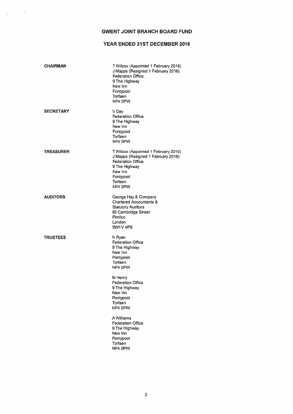# GWENT JOINT BRANCH BOARD FUND

# YEAR ENDED 31ST DECEMBER 2016

| <b>CHAIRMAN</b>  | T Wilcox (Appointed 1 February 2016)<br>J Mapps (Resigned 1 February 2016)<br><b>Federation Office</b><br>9 The Highway<br>New Inn<br>Pontypool<br>Torfaen<br>NP4 0PW |
|------------------|-----------------------------------------------------------------------------------------------------------------------------------------------------------------------|
| <b>SECRETARY</b> | V Day<br><b>Federation Office</b><br>9 The Highway<br>New Inn<br>Pontypool<br>Torfaen<br>NP4 0PW                                                                      |
| <b>TREASURER</b> | T Wilcox (Appointed 1 February 2016)<br>J Mapps (Resigned 1 February 2016)<br><b>Federation Office</b><br>9 The Highway<br>New Inn<br>Pontypool<br>Torfaen<br>NP4 OPW |
| <b>AUDITORS</b>  | George Hay & Company<br><b>Chartered Accountants &amp;</b><br><b>Statutory Auditors</b><br>83 Cambridge Street<br>Pimlico<br>London<br>SW1V <sub>4PS</sub>            |
| <b>TRUSTEES</b>  | N Ryan<br><b>Federation Office</b><br>9 The Highway<br>New Inn<br>Pontypool<br>Torfaen<br>NP4 OPW                                                                     |
|                  | M Henry<br><b>Federation Office</b><br>9 The Highway<br>New Inn<br>Pontypool<br>Torfaen<br>NP4 0PW                                                                    |
|                  | A Williams<br><b>Federation Office</b><br>9 The Highway<br>New Inn<br>Pontypool<br>Torfaen<br>NP4 OPW                                                                 |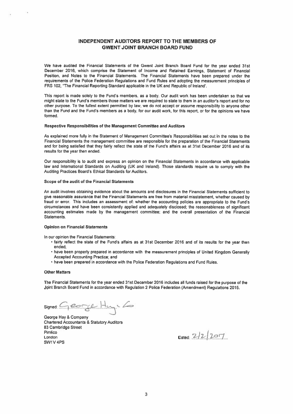## INDEPENDENT AUDITORS REPORT TO THE MEMBERS OF GWENT JOINT BRANCH BOARD FUND

We have audited the Financial Statements of the Gwent Joint Branch Board Fund for the year ended 31st December 2016, which comprise the Statement of Income and Retained Earnings. Statement of Financial Position, and Notes to the Financial Statements. The Financial Statements have been prepare<sup>d</sup> under the requirements of the Police Federation Regulations and Fund Rules and adopting the measurement principles of FRS 102. 'The Financial Reporting Standard applicable in the UK and Republic of Ireland'.

This repor<sup>t</sup> is made solely to the Fund's members, as <sup>a</sup> body. Our audit work has been undertaken so that we might state to the Fund's members those matters we are required to state to them in an auditor's repor<sup>t</sup> and for no other purpose To the fullest extent permitted by law, we do not accep<sup>t</sup> or assume responsibility to anyone other than the Fund and the Fund's members as <sup>a</sup> body. for our audit work, for this report, or for the opinions we have formed.

#### Respective Responsibilities of the Management Committee and Auditors

As explained more fully in the Statement of Management Committee's Responsibilities set out in the notes to the Financial Statements the managemen<sup>t</sup> committee are responsible for the preparation of the Financial Statements and for being satisfied that they fairly reflect the state of the Fund's affairs as at 31st December 2015 and of its results for the year then ended.

Our responsibility is to audit and express an opinion on the Financial Statements in accordance with applicable law and International Standards on Auditing (UK and Ireland). Those standards require us to comply with the Auditing Practices Board's Ethical Standards for Auditors.

#### Scope of the audit of the Financial Statements

An audit involves obtaining evidence about the amounts and disclosures in the Financial Statements sufficient to <sup>g</sup>ive reasonable assurance that the Financial Statements are free from material misstatement, whether caused by fraud or error. This includes an assessment of: whether the accounting policies are appropriate to the Fund's circumstances and have been consistently applied and adequately disclosed; the reasonableness of significant accounting estimates made by the managemen<sup>t</sup> committee; and the overall presentation of the Financial **Statements** 

#### Opinion on Financial Statements

In our opinion the Financial Statements:

- fairly reflect the state of the Fund's affairs as at 31st December <sup>2016</sup> and of its results for the year then ended;
- have been properly prepared in accordance with the measurement principles of United Kingdom Generally Accepted Accounting Practice; and
- have been prepared in accordance with the Police Federation Regulations and Fund Rules.

#### **Other Matters**

The Financial Statements for the year ended 31st December 2016 includes all funds raised for the purpose of the Joint Branch Board Fund in accordance with Regulation <sup>2</sup> Police Federation (Amendment) Regulations 2015.

 $Signed: Gecge Hc$ 

George Hay & Company Chartered Accountants & Statutory Auditors 63 Cambridge Street Pimlico / London Dated: ,<sup>2</sup> 7.j.2!7 SW1V4PS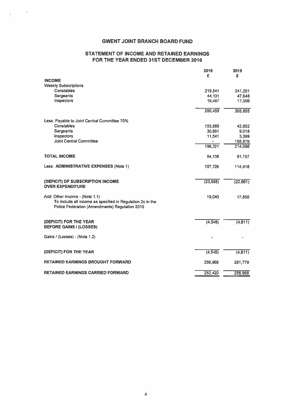# GWENT JOINT BRANCH BOARD FUND

# STATEMENT OF INCOME AND RETAINED EARNINGS FOR THE YEAR ENDED 31ST DECEMBER 2016

|                                                                                                              | 2016      | 2015      |
|--------------------------------------------------------------------------------------------------------------|-----------|-----------|
| <b>INCOME</b>                                                                                                | £         | £         |
| <b>Weekly Subscriptions</b>                                                                                  |           |           |
| Constables                                                                                                   | 219,841   | 241.201   |
| Sergeants                                                                                                    | 44,131    | 47,648    |
| Inspectors                                                                                                   | 16,487    | 17,006    |
|                                                                                                              | 280,459   | 305,855   |
| Less: Payable to Joint Central Committee 70%                                                                 |           |           |
| <b>Constables</b>                                                                                            | 153,889   | 42,802    |
| <b>Sergeants</b>                                                                                             | 30.891    | 9,018     |
| Inspectors                                                                                                   | 11,541    | 3.399     |
| <b>Joint Central Committee</b>                                                                               | $\bullet$ | 158,879   |
|                                                                                                              | 196,321   | 214,098   |
| <b>TOTAL INCOME</b>                                                                                          | 84,138    | 91,757    |
| Less: ADMINISTRATIVE EXPENSES (Note 1)                                                                       | 107,726   | 114,418   |
| (DEFICIT) OF SUBSCRIPTION INCOME<br><b>OVER EXPENDITURE</b>                                                  | (23, 588) | (22, 661) |
| Add: Other Income - (Note 1.1)                                                                               | 19,040    |           |
| To include all income as specified in Regulation 2c in the<br>Police Federation (Amendments) Regulation 2015 |           | 17,850    |
| (DEFICIT) FOR THE YEAR                                                                                       | (4, 548)  | (4, 811)  |
| <b>BEFORE GAINS / (LOSSES)</b>                                                                               |           |           |
| Gains / (Losses) - (Note 1.2)                                                                                |           |           |
| (DEFICIT) FOR THE YEAR                                                                                       | (4, 548)  | (4, 811)  |
| <b>RETAINED EARNINGS BROUGHT FORWARD</b>                                                                     | 256,968   | 261,779   |
| <b>RETAINED EARNINGS CARRIED FORWARD</b>                                                                     | 252,420   | 256,968   |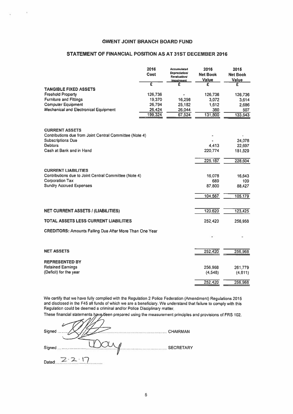# STATEMENT OF FINANCIAL POSITION AS AT 31ST DECEMBER 2016

| <b>GWENT JOINT BRANCH BOARD FUND</b>                           |                  |                               |                   |                   |
|----------------------------------------------------------------|------------------|-------------------------------|-------------------|-------------------|
|                                                                |                  |                               |                   |                   |
| STATEMENT OF FINANCIAL POSITION AS AT 31ST DECEMBER 2016       |                  |                               |                   |                   |
|                                                                |                  |                               |                   |                   |
|                                                                | 2016             | <b>Accumulated</b>            | 2016              | 2015              |
|                                                                | Cost             | Depreciation/<br>Revaluation/ | <b>Net Book</b>   | <b>Net Book</b>   |
|                                                                | Ē                | <b>Impairment</b><br>£        | <b>Value</b><br>£ | <b>Value</b><br>£ |
| <b>TANGIBLE FIXED ASSETS</b>                                   |                  |                               |                   |                   |
| <b>Freehold Property</b>                                       | 126,736          |                               | 126,736           | 126,736           |
| <b>Furniture and Fittings</b><br><b>Computer Equipment</b>     | 19,370<br>26,794 | 16,298<br>25,182              | 3,072<br>1,612    | 3,614<br>2,686    |
| <b>Mechanical and Electronical Equipment</b>                   | 26,424           | 26,044                        | 380               | 507               |
|                                                                | 199,324          | 67,524                        | 131,800           | 133,543           |
|                                                                |                  |                               |                   |                   |
| <b>CURRENT ASSETS</b>                                          |                  |                               |                   |                   |
| Contributions due from Joint Central Committee (Note 4)        |                  |                               |                   |                   |
| <b>Subscriptions Due</b><br><b>Debtors</b>                     |                  |                               | 4.413             | 24,078<br>22,697  |
| Cash at Bank and in Hand                                       |                  |                               | 220,774           | 181,829           |
|                                                                |                  |                               |                   |                   |
|                                                                |                  |                               | 225,187           | 228,604           |
| <b>CURRENT LIABILITIES</b>                                     |                  |                               |                   |                   |
| Contributions due to Joint Central Committee (Note 4)          |                  |                               | 16,078            | 16,643            |
| <b>Corporation Tax</b><br><b>Sundry Accrued Expenses</b>       |                  |                               | 689<br>87,800     | 109<br>88,427     |
|                                                                |                  |                               |                   |                   |
|                                                                |                  |                               | 104,567           | 105,179           |
|                                                                |                  |                               |                   |                   |
| <b>NET CURRENT ASSETS / (LIABILITIES)</b>                      |                  |                               | 120,620           | 123,425           |
| <b>TOTAL ASSETS LESS CURRENT LIABILITIES</b>                   |                  |                               | 252,420           | 256,968           |
|                                                                |                  |                               |                   |                   |
| <b>CREDITORS: Amounts Falling Due After More Than One Year</b> |                  |                               |                   |                   |
|                                                                |                  |                               |                   |                   |
|                                                                |                  |                               |                   |                   |
| <b>NET ASSETS</b>                                              |                  |                               | 252,420           | 256,968           |
| <b>REPRESENTED BY</b>                                          |                  |                               |                   |                   |
| <b>Retained Earnings</b>                                       |                  |                               | 256,968           | 261,779           |
| (Deficit) for the year                                         |                  |                               | (4,548)           | (4, 811)          |
|                                                                |                  |                               | 252,420           | 256,968           |

We certify that we have fully mplied with the Regulation <sup>2</sup> Police Federation (Amendment) Regulations <sup>2015</sup> and disclosed in the F45 all funds of which we are <sup>a</sup> beneficiary. We understand that failure to comply with this Regulation could be deemed <sup>a</sup> criminal and/or Police Disciplinary matter.

These financial statements have been prepared using the measurement principles and provisions of FRS 102.

| Signed | <b>CHAIRMAN</b>  |
|--------|------------------|
| Signed | <b>SECRETARY</b> |
| Dated: |                  |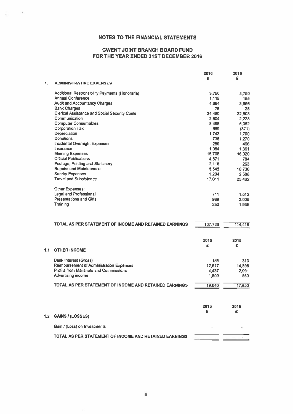# NOTES TO THE FINANCIAL STATEMENTS

## GWENT JOINT BRANCH BOARD FUND FOR THE YEAR ENDED 31ST DECEMBER 2016

|     |                                                        | 2016<br>£ | 2015<br>£ |
|-----|--------------------------------------------------------|-----------|-----------|
| 1.  | <b>ADMINISTRATIVE EXPENSES</b>                         |           |           |
|     | Additional Responsibility Payments (Honoraria)         | 3,750     | 3,750     |
|     | <b>Annual Conference</b>                               | 1,118     | 155       |
|     | <b>Audit and Accountancy Charges</b>                   | 4.664     | 3.956     |
|     | <b>Bank Charges</b>                                    | 76        | 28        |
|     | <b>Clerical Assistance and Social Security Costs</b>   | 34,480    | 32,508    |
|     | Communication                                          | 2.504     | 2,228     |
|     | <b>Computer Consumables</b>                            | 8,498     | 5,062     |
|     | <b>Corporation Tax</b>                                 | 689       | (371)     |
|     | Depreciation                                           | 1,743     | 1,700     |
|     | Donations                                              | 735       | 1,270     |
|     | Incidental Overnight Expenses                          | 280       | 466       |
|     | Insurance                                              | 1,084     | 1,361     |
|     | <b>Meeting Expenses</b>                                | 15,708    | 16,020    |
|     | <b>Official Publications</b>                           | 4,571     | 784       |
|     | Postage, Printing and Stationery                       | 2,116     | 263       |
|     | <b>Repairs and Maintenance</b>                         | 5,545     | 10.736    |
|     | <b>Sundry Expenses</b>                                 | 1,204     | 2,588     |
|     | <b>Travel and Subsistence</b>                          | 17,011    | 25.462    |
|     | Other Expenses:                                        |           |           |
|     | <b>Legal and Professional</b>                          | 711       | 1,512     |
|     | <b>Presentations and Gifts</b>                         | 989       | 3,005     |
|     | Training                                               | 250       | 1,935     |
|     |                                                        |           |           |
|     | TOTAL AS PER STATEMENT OF INCOME AND RETAINED EARNINGS | 107,726   | 114,418   |
|     |                                                        |           |           |
|     |                                                        | 2016      | 2015      |
|     |                                                        | £         | £         |
| 1.1 | <b>OTHER INCOME</b>                                    |           |           |
|     | <b>Bank Interest (Gross)</b>                           | 186       | 313       |
|     | Reimbursement of Administration Expenses               | 12,617    | 14.896    |
|     | Profits from Mailshots and Commissions                 | 4.437     | 2,091     |
|     | Advertising income                                     | 1,800     | 550       |
|     | TOTAL AS PER STATEMENT OF INCOME AND RETAINED EARNINGS | 19,040    | 17,850    |
|     |                                                        |           |           |
|     |                                                        | 2016      | 2015      |
|     |                                                        | £         | £         |
| 1.2 | <b>GAINS / (LOSSES)</b>                                |           |           |
|     | Gain / (Loss) on Investments                           |           |           |
|     | TOTAL AS PER STATEMENT OF INCOME AND RETAINED EARNINGS |           |           |
|     |                                                        |           |           |

 $\bar{r}$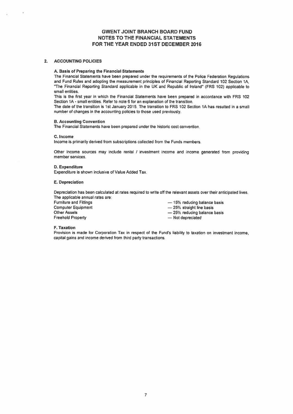### GWENT JOINT BRANCH BOARD FUND NOTES TO THE FINANCIAL STATEMENTS FOR THE YEAR ENDED 31ST DECEMBER 2016

### 2. ACCOUNTING POLICIES

#### A. Basis of Preparing the Financial Statements

The Financial Statements have been prepared under the requirements of the Police Federation Regulations and Fund Rules and adopting the measurement principles of Financial Reporting Standard 102 Section 1A, 'The Financial Reporting Standard applicable in the UK and Republic of Ireland' (FRS 102) applicable to small entities.

This is the first year in which the Financial Statements have been prepared in accordance with FRS 102 Section 1A- small entities. Refer to note <sup>6</sup> for an explanation of the transition.

The date of the transition is 1st January 2015. The transition to FRS 102 Section 1A has resulted in <sup>a</sup> small number of changes in the accounting policies to those used previously.

### B. Accounting Convention

The Financial Statements have been prepared under the historic cost convention.

### C. Income

Income is primarily derived from subscriptions collected from the Funds members.

Other income sources may include rental / investment income and income generated from providing member services.

### D. Expenditure

Expenditure is shown inclusive of Value Added Tax.

### E. Depreciation

Depreciation has been calculated at rates required to write off the relevant assets over their anticipated lives. The applicable annual rates are:

| Furniture and Fittings | -15% reducing balance basis |
|------------------------|-----------------------------|
| Computer Equipment     | $-25\%$ straight line basis |
| Other Assets           | -25% reducing balance basis |
| Freehold Property      | - Not depreciated           |
|                        |                             |

#### F. Taxation

Provision is made for Corporation Tax in respec<sup>t</sup> of the Fund's liability to taxation on investment income, capital gains and income derived from third party transactions.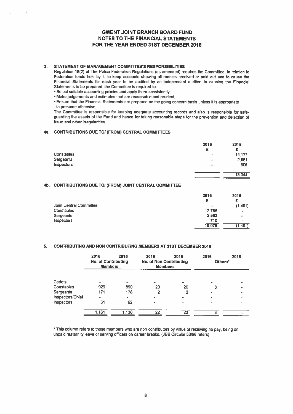# GWENT JOINT BRANCH BOARD FUND NOTES TO THE FINANCIAL STATEMENTS FOR THE YEAR ENDED 31ST DECEMBER 2016

### 3. STATEMENT OF MANAGEMENT COMMITTEE'S RESPONSIBILITIES

### 4a. CONTRIBUTIONS DUE TO! (FROM) CENTRAL COMMITTEES

| <b>GWENT JOINT BRANCH BOARD FUND</b><br><b>NOTES TO THE FINANCIAL STATEMENTS</b><br>FOR THE YEAR ENDED 31ST DECEMBER 2016                                                                                                                                                                                                                                                                                                                                                                                                                                                                                                                                                                                                                                                                                                                                                                                                                                                               |                                     |                                     |
|-----------------------------------------------------------------------------------------------------------------------------------------------------------------------------------------------------------------------------------------------------------------------------------------------------------------------------------------------------------------------------------------------------------------------------------------------------------------------------------------------------------------------------------------------------------------------------------------------------------------------------------------------------------------------------------------------------------------------------------------------------------------------------------------------------------------------------------------------------------------------------------------------------------------------------------------------------------------------------------------|-------------------------------------|-------------------------------------|
| STATEMENT OF MANAGEMENT COMMITTEE'S RESPONSIBILITIES<br>Regulation 18(2) of The Police Federation Regulations (as amended) requires the Committee, in relation to<br>Federation funds held by it, to keep accounts showing all monies received or paid out and to cause the<br>Financial Statements for each year to be audited by an independent auditor. In causing the Financial<br>Statements to be prepared, the Committee is required to:<br>. Select suitable accounting policies and apply them consistently.<br>· Make judgements and estimates that are reasonable and prudent.<br>. Ensure that the Financial Statements are prepared on the going concern basis unless it is appropriate<br>to presume otherwise.<br>The Committee is responsible for keeping adequate accounting records and also is responsible for safe-<br>guarding the assets of the Fund and hence for taking reasonable steps for the prevention and detection of<br>fraud and other irregularities. |                                     |                                     |
| <b>CONTRIBUTIONS DUE TO/ (FROM) CENTRAL COMMITTEES</b>                                                                                                                                                                                                                                                                                                                                                                                                                                                                                                                                                                                                                                                                                                                                                                                                                                                                                                                                  |                                     |                                     |
| Constables<br><b>Sergeants</b><br>Inspectors                                                                                                                                                                                                                                                                                                                                                                                                                                                                                                                                                                                                                                                                                                                                                                                                                                                                                                                                            | 2016<br>£                           | 2015<br>£<br>14,177<br>2.961<br>906 |
| CONTRIBUTIONS DUE TO/ (FROM) JOINT CENTRAL COMMITTEE                                                                                                                                                                                                                                                                                                                                                                                                                                                                                                                                                                                                                                                                                                                                                                                                                                                                                                                                    |                                     | 18,044                              |
| Joint Central Committee<br>Constables<br>Sergeants<br>Inspectors                                                                                                                                                                                                                                                                                                                                                                                                                                                                                                                                                                                                                                                                                                                                                                                                                                                                                                                        | 2016<br>£<br>12.785<br>2.583<br>710 | 2015<br>£<br>(1,401)                |

### 4b. CONTRIBUTIONS DUE TO/ (FROM) JOINT CENTRAL COMMITTEE

|                                | 2016   | 2015      |
|--------------------------------|--------|-----------|
|                                |        | £         |
| <b>Joint Central Committee</b> | ٠      | (1,401)   |
| Constables                     | 12,785 | $\bullet$ |
| <b>Sergeants</b>               | 2.583  | ×         |
| <b>Inspectors</b>              | 710    | ۰         |
|                                | 16,078 | (1,401)   |

### 5. CONTRIBUTING AND NON CONTRIBUTING MEMBERS AT 31ST DECEMBER 2016

|                   | 2016<br><b>No. of Contributing</b><br><b>Members</b> | 2015  | 2016<br><b>No. of Non Contributing</b><br><b>Members</b> | 2015                     | 2016<br>Others* | 2015 |
|-------------------|------------------------------------------------------|-------|----------------------------------------------------------|--------------------------|-----------------|------|
|                   |                                                      |       |                                                          |                          |                 |      |
| Cadets            | ۰                                                    | W.    | $\overline{a}$                                           | -                        |                 |      |
| Constables        | 929                                                  | 890   | 20                                                       | 20                       | 8               |      |
| Sergeants         | 171                                                  | 178   | 2                                                        | 2                        |                 |      |
| Inspectors/Chief  |                                                      | ۰     |                                                          |                          |                 |      |
| <b>Inspectors</b> | 61                                                   | 62    |                                                          | $\overline{\phantom{a}}$ |                 |      |
|                   | 1.161                                                | 1.130 | $\overline{22}$                                          | 22                       | я               |      |

\* This column refers to those members who are non contributors by virtue of receiving no pay, being on unpaid maternity leave or serving officers on career breaks. (JBB Circular 53/95 refers)